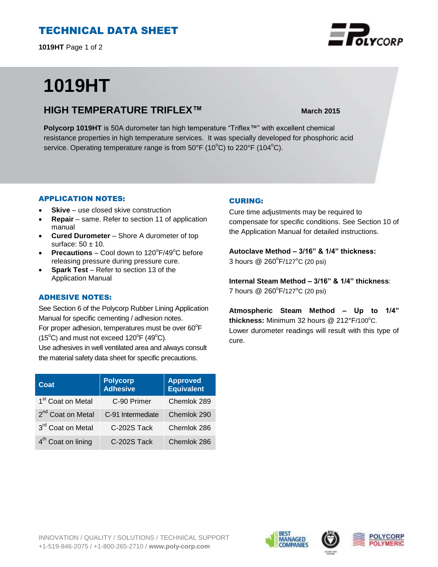# TECHNICAL DATA SHEET

**1019HT** Page 1 of 2

# **1019HT**

## **HIGH TEMPERATURE TRIFLEX™ March 2015**

**Polycorp 1019HT** is 50A durometer tan high temperature "Triflex™" with excellent chemical resistance properties in high temperature services. It was specially developed for phosphoric acid service. Operating temperature range is from  $50^{\circ}F(10^{\circ}C)$  to  $220^{\circ}F(104^{\circ}C)$ .

### APPLICATION NOTES:

- **Skive** use closed skive construction
- **Repair**  same. Refer to section 11 of application manual
- **Cured Durometer**  Shore A durometer of top surface:  $50 \pm 10$ .
- **Precautions**  $-$  Cool down to  $120^{\circ}F/49^{\circ}C$  before releasing pressure during pressure cure.
- **Spark Test**  Refer to section 13 of the Application Manual

## ADHESIVE NOTES:

See Section 6 of the Polycorp Rubber Lining Application Manual for specific cementing / adhesion notes. For proper adhesion, temperatures must be over  $60^{\circ}$ F

 $(15^{\circ}C)$  and must not exceed  $120^{\circ}F(49^{\circ}C)$ .

Use adhesives in well ventilated area and always consult the material safety data sheet for specific precautions.

| Coat                           | <b>Polycorp</b><br>Adhesive | <b>Approved</b><br><b>Equivalent</b> |
|--------------------------------|-----------------------------|--------------------------------------|
| 1 <sup>st</sup> Coat on Metal  | C-90 Primer                 | Chemlok 289                          |
| 2 <sup>nd</sup> Coat on Metal  | C-91 Intermediate           | Chemlok 290                          |
| 3rd Coat on Metal              | C-202S Tack                 | Chemlok 286                          |
| 4 <sup>th</sup> Coat on lining | C-202S Tack                 | Chemlok 286                          |

### CURING:

Cure time adjustments may be required to compensate for specific conditions. See Section 10 of the Application Manual for detailed instructions.

**Autoclave Method – 3/16" & 1/4" thickness:**  3 hours @ 260°F/127°C (20 psi)

**Internal Steam Method – 3/16" & 1/4" thickness**: 7 hours @ 260°F/127°C (20 psi)

**Atmospheric Steam Method – Up to 1/4"** thickness: Minimum 32 hours @ 212°F/100°C. Lower durometer readings will result with this type of cure.